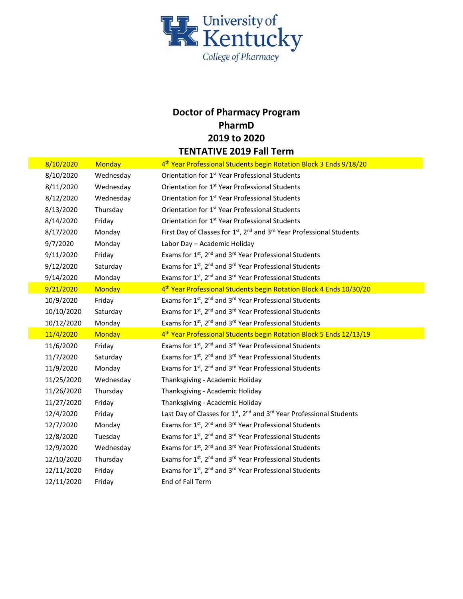

## **Doctor of Pharmacy Program PharmD 2019 to 2020 TENTATIVE 2019 Fall Term**

| 8/10/2020  | <b>Monday</b> | 4 <sup>th</sup> Year Professional Students begin Rotation Block 3 Ends 9/18/20               |
|------------|---------------|----------------------------------------------------------------------------------------------|
| 8/10/2020  | Wednesday     | Orientation for 1 <sup>st</sup> Year Professional Students                                   |
| 8/11/2020  | Wednesday     | Orientation for 1 <sup>st</sup> Year Professional Students                                   |
| 8/12/2020  | Wednesday     | Orientation for 1 <sup>st</sup> Year Professional Students                                   |
| 8/13/2020  | Thursday      | Orientation for 1 <sup>st</sup> Year Professional Students                                   |
| 8/14/2020  | Friday        | Orientation for 1 <sup>st</sup> Year Professional Students                                   |
| 8/17/2020  | Monday        | First Day of Classes for 1st, 2 <sup>nd</sup> and 3 <sup>rd</sup> Year Professional Students |
| 9/7/2020   | Monday        | Labor Day - Academic Holiday                                                                 |
| 9/11/2020  | Friday        | Exams for 1st, 2 <sup>nd</sup> and 3 <sup>rd</sup> Year Professional Students                |
| 9/12/2020  | Saturday      | Exams for 1st, 2 <sup>nd</sup> and 3 <sup>rd</sup> Year Professional Students                |
| 9/14/2020  | Monday        | Exams for 1st, 2 <sup>nd</sup> and 3 <sup>rd</sup> Year Professional Students                |
| 9/21/2020  | <b>Monday</b> | 4 <sup>th</sup> Year Professional Students begin Rotation Block 4 Ends 10/30/20              |
| 10/9/2020  | Friday        | Exams for 1st, 2 <sup>nd</sup> and 3 <sup>rd</sup> Year Professional Students                |
| 10/10/2020 | Saturday      | Exams for 1 <sup>st</sup> , 2 <sup>nd</sup> and 3 <sup>rd</sup> Year Professional Students   |
| 10/12/2020 | Monday        | Exams for 1st, 2 <sup>nd</sup> and 3 <sup>rd</sup> Year Professional Students                |
| 11/4/2020  | <b>Monday</b> | 4 <sup>th</sup> Year Professional Students begin Rotation Block 5 Ends 12/13/19              |
| 11/6/2020  | Friday        | Exams for 1st, 2 <sup>nd</sup> and 3 <sup>rd</sup> Year Professional Students                |
| 11/7/2020  | Saturday      | Exams for 1st, 2 <sup>nd</sup> and 3 <sup>rd</sup> Year Professional Students                |
| 11/9/2020  | Monday        | Exams for 1st, 2 <sup>nd</sup> and 3 <sup>rd</sup> Year Professional Students                |
| 11/25/2020 | Wednesday     | Thanksgiving - Academic Holiday                                                              |
| 11/26/2020 | Thursday      | Thanksgiving - Academic Holiday                                                              |
| 11/27/2020 | Friday        | Thanksgiving - Academic Holiday                                                              |
| 12/4/2020  | Friday        | Last Day of Classes for 1st, 2 <sup>nd</sup> and 3 <sup>rd</sup> Year Professional Students  |
| 12/7/2020  | Monday        | Exams for 1st, 2 <sup>nd</sup> and 3 <sup>rd</sup> Year Professional Students                |
| 12/8/2020  | Tuesday       | Exams for 1st, 2 <sup>nd</sup> and 3 <sup>rd</sup> Year Professional Students                |
| 12/9/2020  | Wednesday     | Exams for 1 <sup>st</sup> , 2 <sup>nd</sup> and 3 <sup>rd</sup> Year Professional Students   |
| 12/10/2020 | Thursday      | Exams for 1st, 2 <sup>nd</sup> and 3 <sup>rd</sup> Year Professional Students                |
| 12/11/2020 | Friday        | Exams for 1st, 2 <sup>nd</sup> and 3 <sup>rd</sup> Year Professional Students                |
| 12/11/2020 | Friday        | End of Fall Term                                                                             |